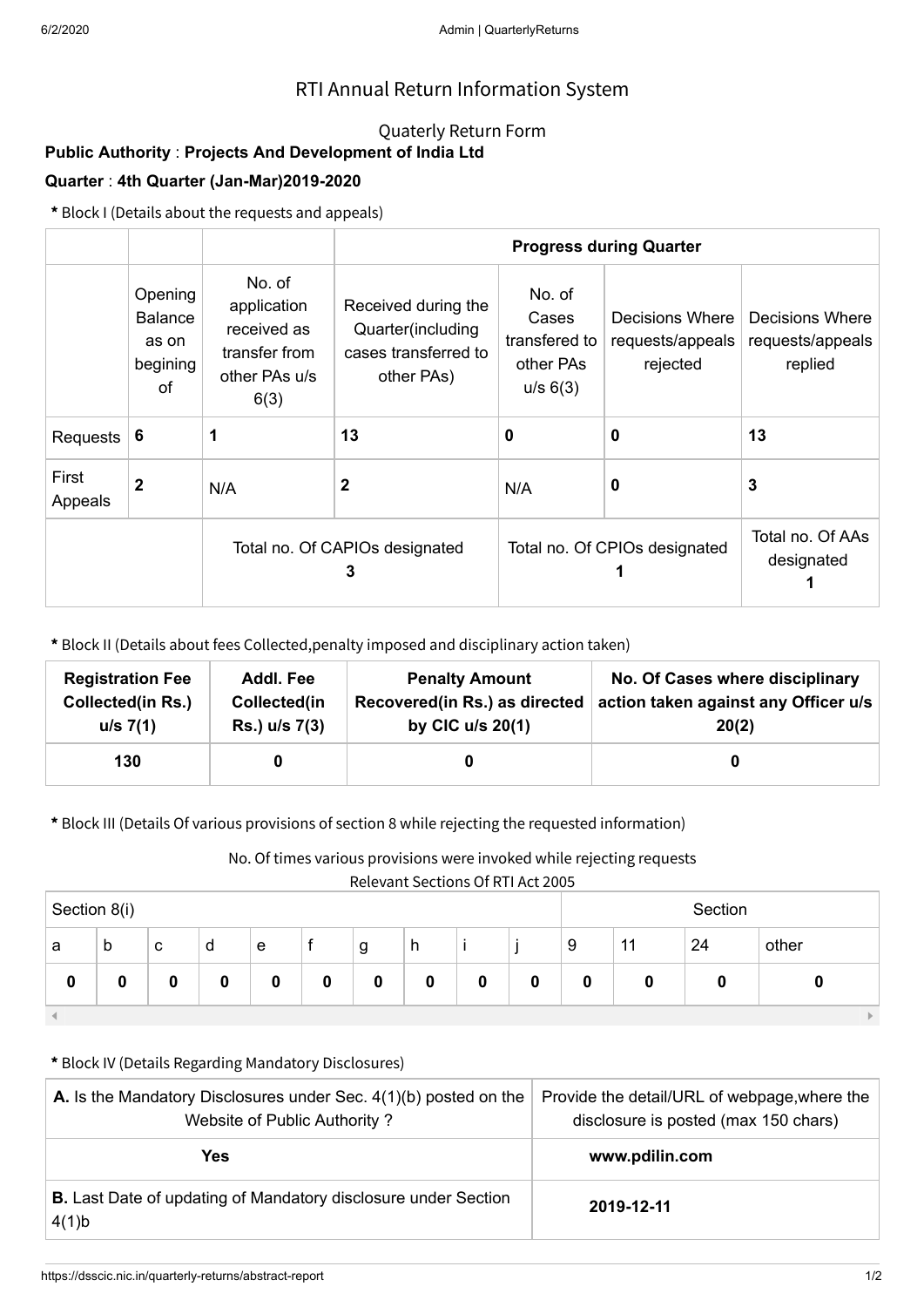## RTI Annual Return Information System

## Quaterly Return Form

# **Public Authority** : **Projects And Development of India Ltd**

### **Quarter** : **4th Quarter (Jan-Mar)2019-2020**

**\*** Block I (Details about the requests and appeals)

|                  |                                                      |                                                                                | <b>Progress during Quarter</b>                                                 |                                                           |                                                 |                                                |  |  |
|------------------|------------------------------------------------------|--------------------------------------------------------------------------------|--------------------------------------------------------------------------------|-----------------------------------------------------------|-------------------------------------------------|------------------------------------------------|--|--|
|                  | Opening<br><b>Balance</b><br>as on<br>begining<br>οf | No. of<br>application<br>received as<br>transfer from<br>other PAs u/s<br>6(3) | Received during the<br>Quarter(including<br>cases transferred to<br>other PAs) | No. of<br>Cases<br>transfered to<br>other PAs<br>u/s 6(3) | Decisions Where<br>requests/appeals<br>rejected | Decisions Where<br>requests/appeals<br>replied |  |  |
| Requests         | -6                                                   |                                                                                | 13                                                                             | 0                                                         | $\bf{0}$                                        | 13                                             |  |  |
| First<br>Appeals | $\mathbf{2}$                                         | N/A                                                                            | 2                                                                              | N/A                                                       | 0                                               | 3                                              |  |  |
|                  |                                                      | Total no. Of CAPIOs designated<br>3                                            |                                                                                | Total no. Of CPIOs designated                             | Total no. Of AAs<br>designated                  |                                                |  |  |

**\*** Block II (Details about fees Collected,penalty imposed and disciplinary action taken)

| <b>Registration Fee</b>  | Addl. Fee     | <b>Penalty Amount</b>         | No. Of Cases where disciplinary      |
|--------------------------|---------------|-------------------------------|--------------------------------------|
| <b>Collected(in Rs.)</b> | Collected(in  | Recovered(in Rs.) as directed | action taken against any Officer u/s |
| u/s 7(1)                 | Rs.) u/s 7(3) | by CIC $u/s$ 20(1)            | 20(2)                                |
| 130                      |               |                               |                                      |

**\*** Block III (Details Of various provisions of section 8 while rejecting the requested information)

No. Of times various provisions were invoked while rejecting requests

Relevant Sections Of RTI Act 2005

| .<br>- - - - - -<br>___<br>__<br>___<br>Section 8(i) |             |   |   |   |   | Section |   |   |   |   |    |    |       |
|------------------------------------------------------|-------------|---|---|---|---|---------|---|---|---|---|----|----|-------|
| a                                                    | $\mathsf b$ | с | d | e |   | g       | h |   |   | 9 | 11 | 24 | other |
| v                                                    | 0           | 0 | 0 | 0 | 0 | 0       | 0 | 0 | ν | 0 | 0  | O  |       |
|                                                      |             |   |   |   |   |         |   |   |   |   |    |    |       |

#### **\*** Block IV (Details Regarding Mandatory Disclosures)

| <b>A.</b> Is the Mandatory Disclosures under Sec. $4(1)(b)$ posted on the<br>Website of Public Authority? | Provide the detail/URL of webpage, where the<br>disclosure is posted (max 150 chars) |  |  |
|-----------------------------------------------------------------------------------------------------------|--------------------------------------------------------------------------------------|--|--|
| <b>Yes</b>                                                                                                | www.pdilin.com                                                                       |  |  |
| <b>B.</b> Last Date of updating of Mandatory disclosure under Section<br>4(1)b                            | 2019-12-11                                                                           |  |  |